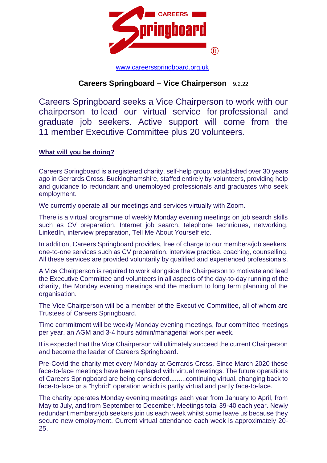

[www.careersspringboard.org.uk](http://www.careersspringboard.org.uk/)

# **Careers Springboard – Vice Chairperson** 9.2.22

Careers Springboard seeks a Vice Chairperson to work with our chairperson to lead our virtual service for professional and graduate job seekers. Active support will come from the 11 member Executive Committee plus 20 volunteers.

## **What will you be doing?**

Careers Springboard is a registered charity, self-help group, established over 30 years ago in Gerrards Cross, Buckinghamshire, staffed entirely by volunteers, providing help and guidance to redundant and unemployed professionals and graduates who seek employment.

We currently operate all our meetings and services virtually with Zoom.

There is a virtual programme of weekly Monday evening meetings on job search skills such as CV preparation, Internet job search, telephone techniques, networking, LinkedIn, interview preparation, Tell Me About Yourself etc.

In addition, Careers Springboard provides, free of charge to our members/job seekers, one-to-one services such as CV preparation, interview practice, coaching, counselling. All these services are provided voluntarily by qualified and experienced professionals.

A Vice Chairperson is required to work alongside the Chairperson to motivate and lead the Executive Committee and volunteers in all aspects of the day-to-day running of the charity, the Monday evening meetings and the medium to long term planning of the organisation.

The Vice Chairperson will be a member of the Executive Committee, all of whom are Trustees of Careers Springboard.

Time commitment will be weekly Monday evening meetings, four committee meetings per year, an AGM and 3-4 hours admin/managerial work per week.

It is expected that the Vice Chairperson will ultimately succeed the current Chairperson and become the leader of Careers Springboard.

Pre-Covid the charity met every Monday at Gerrards Cross. Since March 2020 these face-to-face meetings have been replaced with virtual meetings. The future operations of Careers Springboard are being considered.........continuing virtual, changing back to face-to-face or a "hybrid" operation which is partly virtual and partly face-to-face.

The charity operates Monday evening meetings each year from January to April, from May to July, and from September to December. Meetings total 39-40 each year. Newly redundant members/job seekers join us each week whilst some leave us because they secure new employment. Current virtual attendance each week is approximately 20- 25.